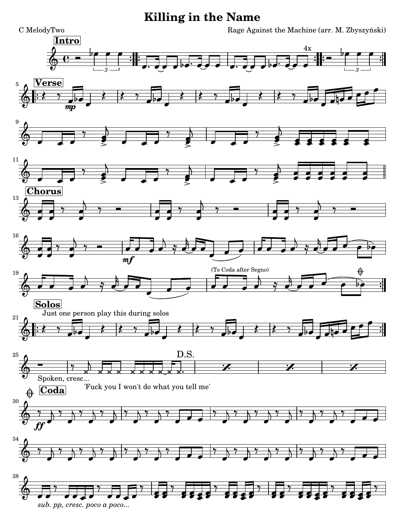## **Killing in the Name**